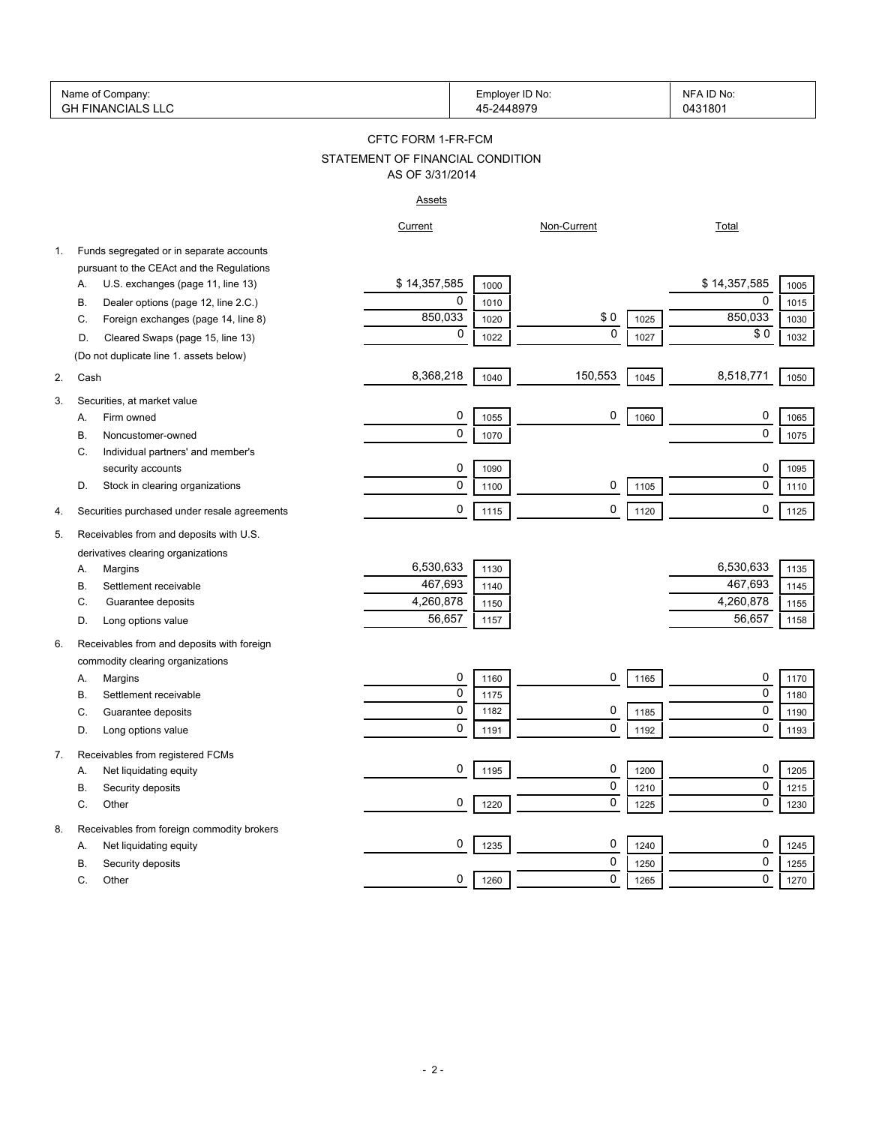|    | Name of Company:<br><b>GH FINANCIALS LLC</b>               |                                  | Employer ID No:<br>45-2448979 |             |      | NFA ID No:<br>0431801 |      |
|----|------------------------------------------------------------|----------------------------------|-------------------------------|-------------|------|-----------------------|------|
|    |                                                            | CFTC FORM 1-FR-FCM               |                               |             |      |                       |      |
|    |                                                            | STATEMENT OF FINANCIAL CONDITION |                               |             |      |                       |      |
|    |                                                            | AS OF 3/31/2014                  |                               |             |      |                       |      |
|    |                                                            | <b>Assets</b>                    |                               |             |      |                       |      |
|    |                                                            | Current                          |                               | Non-Current |      | <b>Total</b>          |      |
| 1. | Funds segregated or in separate accounts                   |                                  |                               |             |      |                       |      |
|    | pursuant to the CEAct and the Regulations                  |                                  |                               |             |      |                       |      |
|    | U.S. exchanges (page 11, line 13)<br>А.                    | \$14,357,585                     | 1000                          |             |      | \$14,357,585          | 1005 |
| В. | Dealer options (page 12, line 2.C.)                        | 0                                | 1010                          |             |      | 0                     | 1015 |
|    | Foreign exchanges (page 14, line 8)<br>C.                  | 850,033                          | 1020                          | \$0         | 1025 | 850,033               | 1030 |
|    | Cleared Swaps (page 15, line 13)<br>D.                     | 0                                | 1022                          | $\mathbf 0$ | 1027 | \$0                   | 1032 |
|    | (Do not duplicate line 1. assets below)                    |                                  |                               |             |      |                       |      |
| 2. | Cash                                                       | 8,368,218                        | 1040                          | 150,553     | 1045 | 8,518,771             | 1050 |
| 3. | Securities, at market value                                |                                  |                               |             |      |                       |      |
|    | Firm owned<br>Α.                                           | 0                                | 1055                          | 0           | 1060 | 0                     | 1065 |
| В. | Noncustomer-owned                                          | 0                                | 1070                          |             |      | $\mathbf 0$           | 1075 |
|    | Individual partners' and member's<br>C.                    |                                  |                               |             |      |                       |      |
|    | security accounts                                          | 0                                | 1090                          |             |      | 0                     | 1095 |
|    | Stock in clearing organizations<br>D.                      | 0                                | 1100                          | 0           | 1105 | $\mathbf 0$           | 1110 |
| 4. | Securities purchased under resale agreements               | 0                                | 1115                          | 0           | 1120 | 0                     | 1125 |
|    |                                                            |                                  |                               |             |      |                       |      |
| 5. | Receivables from and deposits with U.S.                    |                                  |                               |             |      |                       |      |
|    | derivatives clearing organizations                         |                                  |                               |             |      |                       |      |
|    | Margins<br>Α.                                              | 6,530,633                        | 1130                          |             |      | 6,530,633             | 1135 |
| В. | Settlement receivable                                      | 467,693                          | 1140                          |             |      | 467,693               | 1145 |
|    | Guarantee deposits<br>C.                                   | 4,260,878                        | 1150                          |             |      | 4,260,878             | 1155 |
|    | Long options value<br>D.                                   | 56,657                           | 1157                          |             |      | 56,657                | 1158 |
| 6. | Receivables from and deposits with foreign                 |                                  |                               |             |      |                       |      |
|    | commodity clearing organizations                           |                                  |                               |             |      |                       |      |
|    | Margins<br>Α.                                              | 0                                | 1160                          | 0           | 1165 | 0                     | 1170 |
|    | Settlement receivable<br>В.                                | 0                                | 1175                          |             |      | 0                     | 1180 |
| C. | Guarantee deposits                                         | 0                                | 1182                          | 0           | 1185 | $\mathbf 0$           | 1190 |
|    | Long options value<br>D.                                   | 0                                | 1191                          | 0           | 1192 | 0                     | 1193 |
|    |                                                            |                                  |                               |             |      |                       |      |
| 7. | Receivables from registered FCMs<br>Net liquidating equity | 0                                | 1195                          | 0           | 1200 | 0                     | 1205 |
|    | А.<br>Security deposits<br>В.                              |                                  |                               | 0           | 1210 | 0                     | 1215 |
|    |                                                            | 0                                | 1220                          | 0           | 1225 | 0                     | 1230 |
|    | C.<br>Other                                                |                                  |                               |             |      |                       |      |
| 8. | Receivables from foreign commodity brokers                 |                                  |                               |             |      |                       |      |
|    | Net liquidating equity<br>Α.                               | 0                                | 1235                          | 0           | 1240 | 0                     | 1245 |
|    | В.<br>Security deposits                                    |                                  |                               | 0           | 1250 | 0                     | 1255 |
|    | С.<br>Other                                                | 0                                | 1260                          | 0           | 1265 | 0                     | 1270 |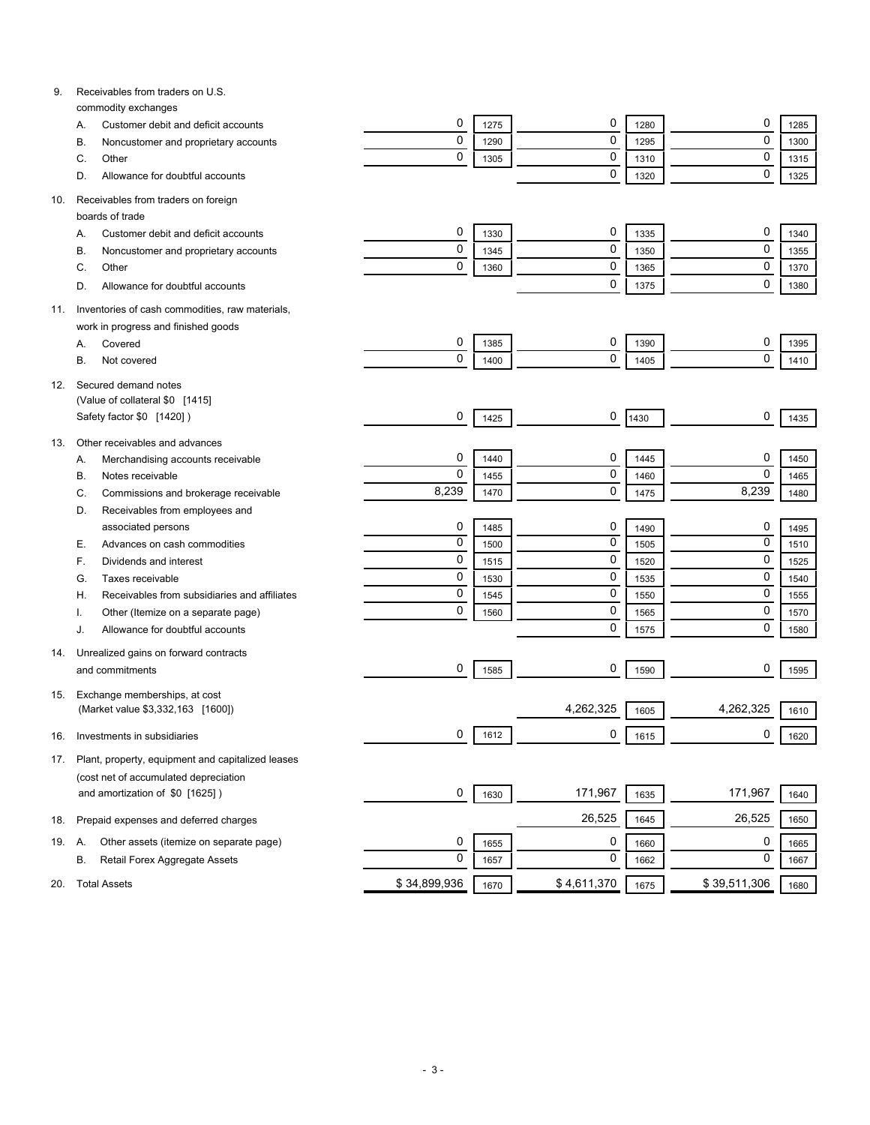| 9.  | Receivables from traders on U.S.                                         |              |      |             |      |              |      |
|-----|--------------------------------------------------------------------------|--------------|------|-------------|------|--------------|------|
|     | commodity exchanges<br>Customer debit and deficit accounts<br>Α.         | 0            | 1275 | 0           | 1280 | 0            | 1285 |
|     | Noncustomer and proprietary accounts<br>В.                               | $\mathbf 0$  | 1290 | 0           | 1295 | $\mathbf 0$  | 1300 |
|     | Other<br>C.                                                              | $\mathbf 0$  | 1305 | 0           | 1310 | $\mathbf 0$  | 1315 |
|     | Allowance for doubtful accounts<br>D.                                    |              |      | 0           | 1320 | $\mathbf 0$  | 1325 |
|     |                                                                          |              |      |             |      |              |      |
| 10. | Receivables from traders on foreign                                      |              |      |             |      |              |      |
|     | boards of trade                                                          |              |      |             |      |              |      |
|     | Customer debit and deficit accounts<br>Α.                                | 0            | 1330 | 0           | 1335 | 0            | 1340 |
|     | Noncustomer and proprietary accounts<br>B                                | 0            | 1345 | 0           | 1350 | $\mathbf 0$  | 1355 |
|     | Other<br>C.                                                              | 0            | 1360 | 0           | 1365 | $\mathbf 0$  | 1370 |
|     | Allowance for doubtful accounts<br>D.                                    |              |      | 0           | 1375 | $\mathbf 0$  | 1380 |
| 11. | Inventories of cash commodities, raw materials,                          |              |      |             |      |              |      |
|     | work in progress and finished goods                                      |              |      |             |      |              |      |
|     | Covered<br>Α.                                                            | 0            | 1385 | 0           | 1390 | 0            | 1395 |
|     | В.<br>Not covered                                                        | 0            | 1400 | 0           | 1405 | $\mathbf 0$  | 1410 |
|     |                                                                          |              |      |             |      |              |      |
| 12. | Secured demand notes                                                     |              |      |             |      |              |      |
|     | (Value of collateral \$0 [1415]                                          |              |      |             |      |              |      |
|     | Safety factor \$0 [1420])                                                | 0            | 1425 | 0           | 1430 | 0            | 1435 |
| 13. | Other receivables and advances                                           |              |      |             |      |              |      |
|     | Merchandising accounts receivable<br>А.                                  | 0            | 1440 | 0           | 1445 | 0            | 1450 |
|     | Notes receivable<br>В.                                                   | $\mathbf 0$  | 1455 | 0           | 1460 | $\mathbf 0$  | 1465 |
|     | Commissions and brokerage receivable<br>C.                               | 8,239        | 1470 | 0           | 1475 | 8,239        | 1480 |
|     | Receivables from employees and<br>D.                                     |              |      |             |      |              |      |
|     | associated persons                                                       | 0            | 1485 | 0           | 1490 | 0            | 1495 |
|     | Advances on cash commodities<br>Е.                                       | $\mathbf 0$  | 1500 | 0           | 1505 | $\mathbf 0$  | 1510 |
|     | Dividends and interest<br>F.                                             | $\mathbf 0$  | 1515 | 0           | 1520 | $\mathbf 0$  | 1525 |
|     | Taxes receivable<br>G.                                                   | $\mathbf 0$  | 1530 | 0           | 1535 | $\mathbf 0$  | 1540 |
|     | Receivables from subsidiaries and affiliates<br>Н.                       | $\mathbf 0$  | 1545 | 0           | 1550 | $\mathbf 0$  | 1555 |
|     | Other (Itemize on a separate page)                                       | $\mathbf 0$  | 1560 | 0           | 1565 | $\mathbf 0$  | 1570 |
|     | Allowance for doubtful accounts<br>J.                                    |              |      | 0           | 1575 | $\mathbf 0$  | 1580 |
|     |                                                                          |              |      |             |      |              |      |
| 14. | Unrealized gains on forward contracts<br>and commitments                 | 0            | 1585 | 0           | 1590 | 0            | 1595 |
|     |                                                                          |              |      |             |      |              |      |
| 15. | Exchange memberships, at cost                                            |              |      |             |      |              |      |
|     | (Market value \$3,332,163 [1600])                                        |              |      | 4,262,325   | 1605 | 4,262,325    | 1610 |
| 16. | Investments in subsidiaries                                              | 0            | 1612 | 0           | 1615 | 0            | 1620 |
|     |                                                                          |              |      |             |      |              |      |
| 17. | Plant, property, equipment and capitalized leases                        |              |      |             |      |              |      |
|     | (cost net of accumulated depreciation<br>and amortization of \$0 [1625]) | 0            |      | 171,967     |      | 171,967      |      |
|     |                                                                          |              | 1630 |             | 1635 |              | 1640 |
| 18. | Prepaid expenses and deferred charges                                    |              |      | 26,525      | 1645 | 26,525       | 1650 |
| 19. | Other assets (itemize on separate page)<br>Α.                            | 0            | 1655 | 0           | 1660 | 0            | 1665 |
|     | Retail Forex Aggregate Assets<br>В.                                      | $\mathbf 0$  | 1657 | 0           | 1662 | 0            | 1667 |
|     |                                                                          |              |      |             |      |              |      |
| 20. | <b>Total Assets</b>                                                      | \$34,899,936 | 1670 | \$4,611,370 | 1675 | \$39,511,306 | 1680 |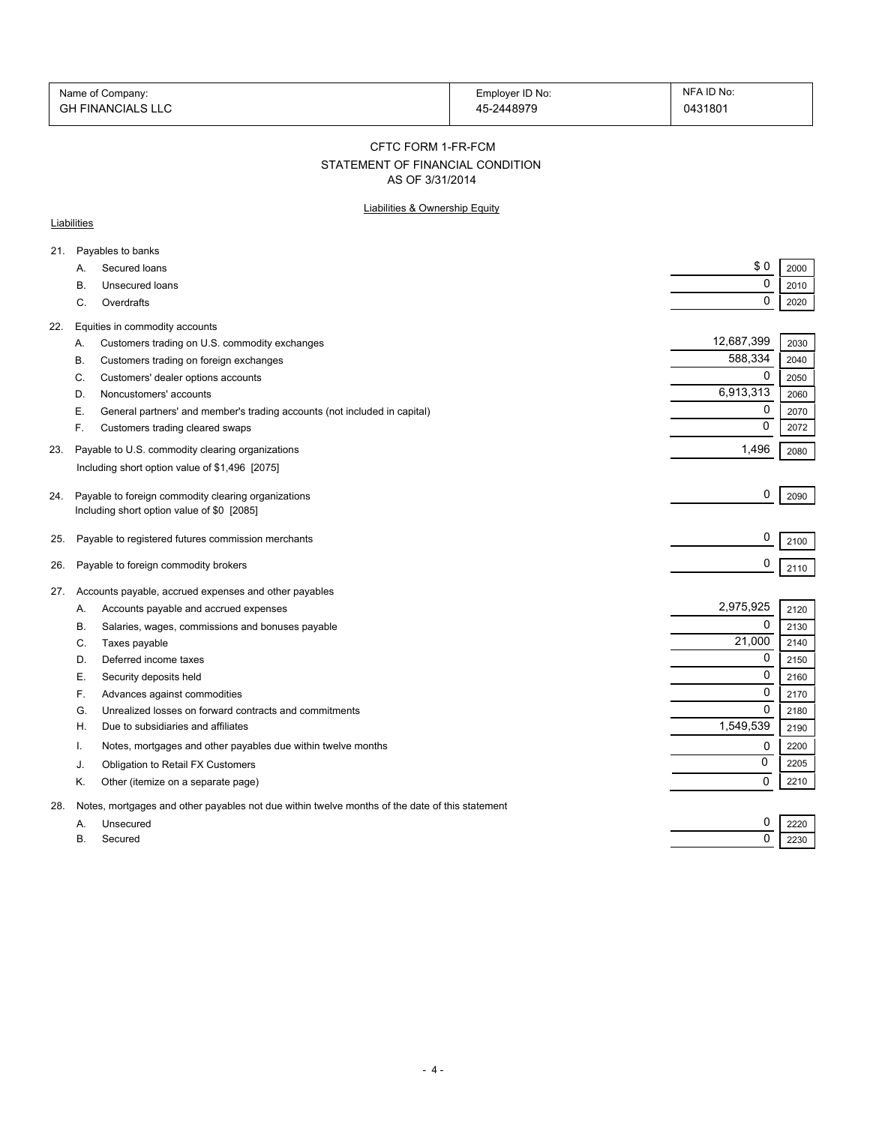| Name of Company:         | Employer ID No: | NFA ID No: |
|--------------------------|-----------------|------------|
| <b>GH FINANCIALS LLC</b> | 45-2448979      | 0431801    |

#### CFTC FORM 1-FR-FCM

# STATEMENT OF FINANCIAL CONDITION

AS OF 3/31/2014

### Liabilities & Ownership Equity

### **Liabilities**

| 21. |           | Payables to banks                                                                              |             |      |
|-----|-----------|------------------------------------------------------------------------------------------------|-------------|------|
|     | A.        | Secured loans                                                                                  | \$0         | 2000 |
|     | В.        | Unsecured loans                                                                                | 0           | 2010 |
|     | C.        | Overdrafts                                                                                     | 0           | 2020 |
| 22. |           | Equities in commodity accounts                                                                 |             |      |
|     | Α.        | Customers trading on U.S. commodity exchanges                                                  | 12,687,399  | 2030 |
|     | В.        | Customers trading on foreign exchanges                                                         | 588,334     | 2040 |
|     | C.        | Customers' dealer options accounts                                                             | 0           | 2050 |
|     | D.        | Noncustomers' accounts                                                                         | 6,913,313   | 2060 |
|     | Е.        | General partners' and member's trading accounts (not included in capital)                      | 0           | 2070 |
|     | F.        | Customers trading cleared swaps                                                                | 0           | 2072 |
| 23. |           | Payable to U.S. commodity clearing organizations                                               | 1,496       | 2080 |
|     |           | Including short option value of \$1,496 [2075]                                                 |             |      |
| 24. |           | Payable to foreign commodity clearing organizations                                            | 0           | 2090 |
|     |           | Including short option value of \$0 [2085]                                                     |             |      |
|     |           |                                                                                                |             |      |
| 25. |           | Payable to registered futures commission merchants                                             | 0           | 2100 |
| 26. |           | Payable to foreign commodity brokers                                                           | 0           | 2110 |
| 27. |           | Accounts payable, accrued expenses and other payables                                          |             |      |
|     | А.        | Accounts payable and accrued expenses                                                          | 2,975,925   | 2120 |
|     | В.        | Salaries, wages, commissions and bonuses payable                                               | 0           | 2130 |
|     | C.        | Taxes payable                                                                                  | 21,000      | 2140 |
|     | D.        | Deferred income taxes                                                                          | 0           | 2150 |
|     | Е.        | Security deposits held                                                                         | $\mathbf 0$ | 2160 |
|     | F.        | Advances against commodities                                                                   | 0           | 2170 |
|     | G.        | Unrealized losses on forward contracts and commitments                                         | $\Omega$    | 2180 |
|     | Н.        | Due to subsidiaries and affiliates                                                             | 1,549,539   | 2190 |
|     | Ι.        | Notes, mortgages and other payables due within twelve months                                   | 0           | 2200 |
|     | J.        | Obligation to Retail FX Customers                                                              | 0           | 2205 |
|     | Κ.        | Other (itemize on a separate page)                                                             | 0           | 2210 |
| 28. |           | Notes, mortgages and other payables not due within twelve months of the date of this statement |             |      |
|     | А.        | Unsecured                                                                                      | 0           | 2220 |
|     | <b>B.</b> | Secured                                                                                        | 0           | 2230 |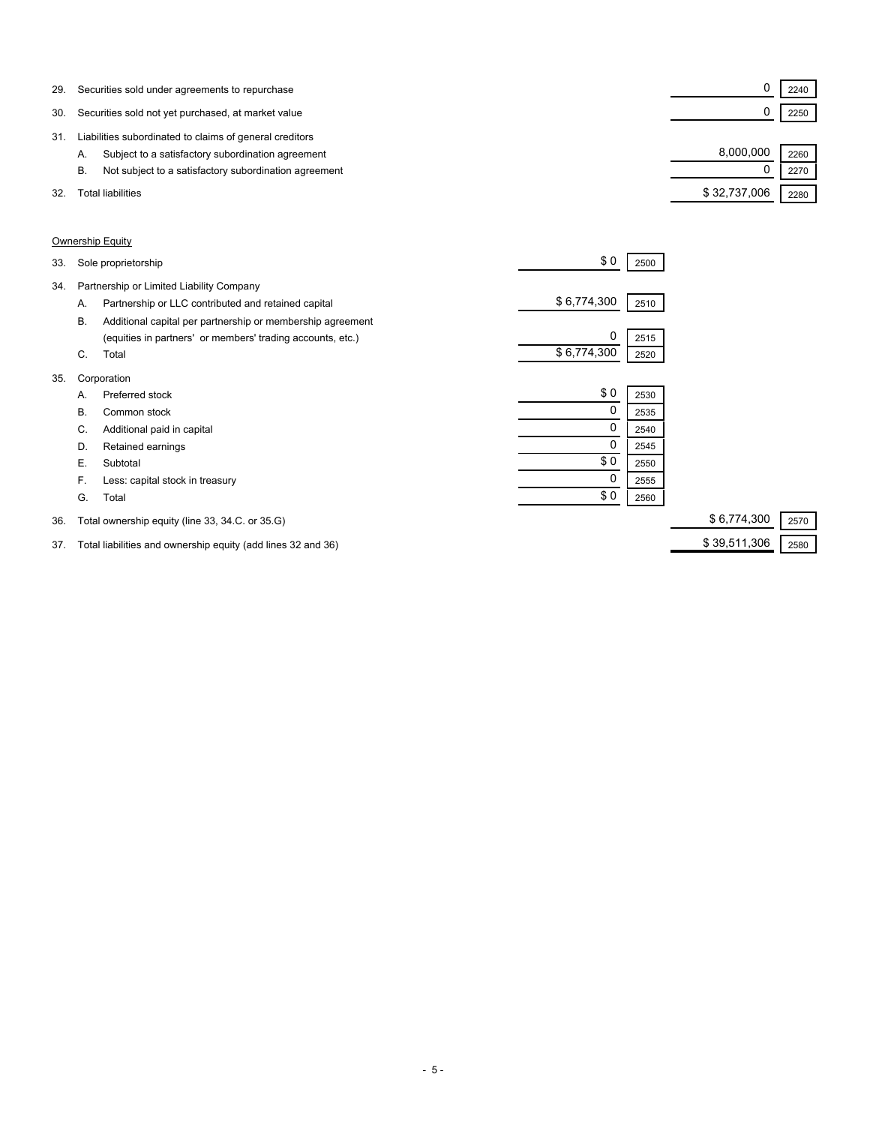| 29. | Securities sold under agreements to repurchase              |              | 2240 |  |
|-----|-------------------------------------------------------------|--------------|------|--|
| 30. | Securities sold not yet purchased, at market value          |              | 2250 |  |
| 31  | Liabilities subordinated to claims of general creditors     |              |      |  |
|     | Subject to a satisfactory subordination agreement<br>А.     | 8,000,000    | 2260 |  |
|     | Not subject to a satisfactory subordination agreement<br>В. |              | 2270 |  |
| 32. | Total liabilities                                           | \$32,737,006 | 2280 |  |

### Ownership Equity

| 34.<br>Partnership or Limited Liability Company<br>\$6,774,300<br>Partnership or LLC contributed and retained capital<br>2510<br>А.<br><b>B.</b><br>Additional capital per partnership or membership agreement<br>0<br>(equities in partners' or members' trading accounts, etc.)<br>2515<br>\$6,774,300<br>Total<br>C.<br>2520<br>35.<br>Corporation<br>\$0<br>Preferred stock<br>2530<br>А.<br>0<br>В.<br>Common stock<br>2535<br>0<br>Additional paid in capital<br>C.<br>2540<br>Retained earnings<br>D.<br>2545<br>\$0<br>Е.<br>Subtotal<br>2550<br>0<br>F.<br>Less: capital stock in treasury<br>2555<br>\$0<br>G.<br>Total<br>2560<br>\$6,774,300<br>Total ownership equity (line 33, 34.C. or 35.G)<br>36. | 33. | Sole proprietorship | \$0 | 2500 |      |
|--------------------------------------------------------------------------------------------------------------------------------------------------------------------------------------------------------------------------------------------------------------------------------------------------------------------------------------------------------------------------------------------------------------------------------------------------------------------------------------------------------------------------------------------------------------------------------------------------------------------------------------------------------------------------------------------------------------------|-----|---------------------|-----|------|------|
|                                                                                                                                                                                                                                                                                                                                                                                                                                                                                                                                                                                                                                                                                                                    |     |                     |     |      |      |
|                                                                                                                                                                                                                                                                                                                                                                                                                                                                                                                                                                                                                                                                                                                    |     |                     |     |      |      |
|                                                                                                                                                                                                                                                                                                                                                                                                                                                                                                                                                                                                                                                                                                                    |     |                     |     |      |      |
|                                                                                                                                                                                                                                                                                                                                                                                                                                                                                                                                                                                                                                                                                                                    |     |                     |     |      |      |
|                                                                                                                                                                                                                                                                                                                                                                                                                                                                                                                                                                                                                                                                                                                    |     |                     |     |      |      |
|                                                                                                                                                                                                                                                                                                                                                                                                                                                                                                                                                                                                                                                                                                                    |     |                     |     |      |      |
|                                                                                                                                                                                                                                                                                                                                                                                                                                                                                                                                                                                                                                                                                                                    |     |                     |     |      |      |
|                                                                                                                                                                                                                                                                                                                                                                                                                                                                                                                                                                                                                                                                                                                    |     |                     |     |      |      |
|                                                                                                                                                                                                                                                                                                                                                                                                                                                                                                                                                                                                                                                                                                                    |     |                     |     |      |      |
|                                                                                                                                                                                                                                                                                                                                                                                                                                                                                                                                                                                                                                                                                                                    |     |                     |     |      |      |
|                                                                                                                                                                                                                                                                                                                                                                                                                                                                                                                                                                                                                                                                                                                    |     |                     |     |      |      |
|                                                                                                                                                                                                                                                                                                                                                                                                                                                                                                                                                                                                                                                                                                                    |     |                     |     |      |      |
|                                                                                                                                                                                                                                                                                                                                                                                                                                                                                                                                                                                                                                                                                                                    |     |                     |     |      |      |
|                                                                                                                                                                                                                                                                                                                                                                                                                                                                                                                                                                                                                                                                                                                    |     |                     |     |      | 2570 |

37. Total liabilities and ownership equity (add lines 32 and 36) \$ 39,511,306 2580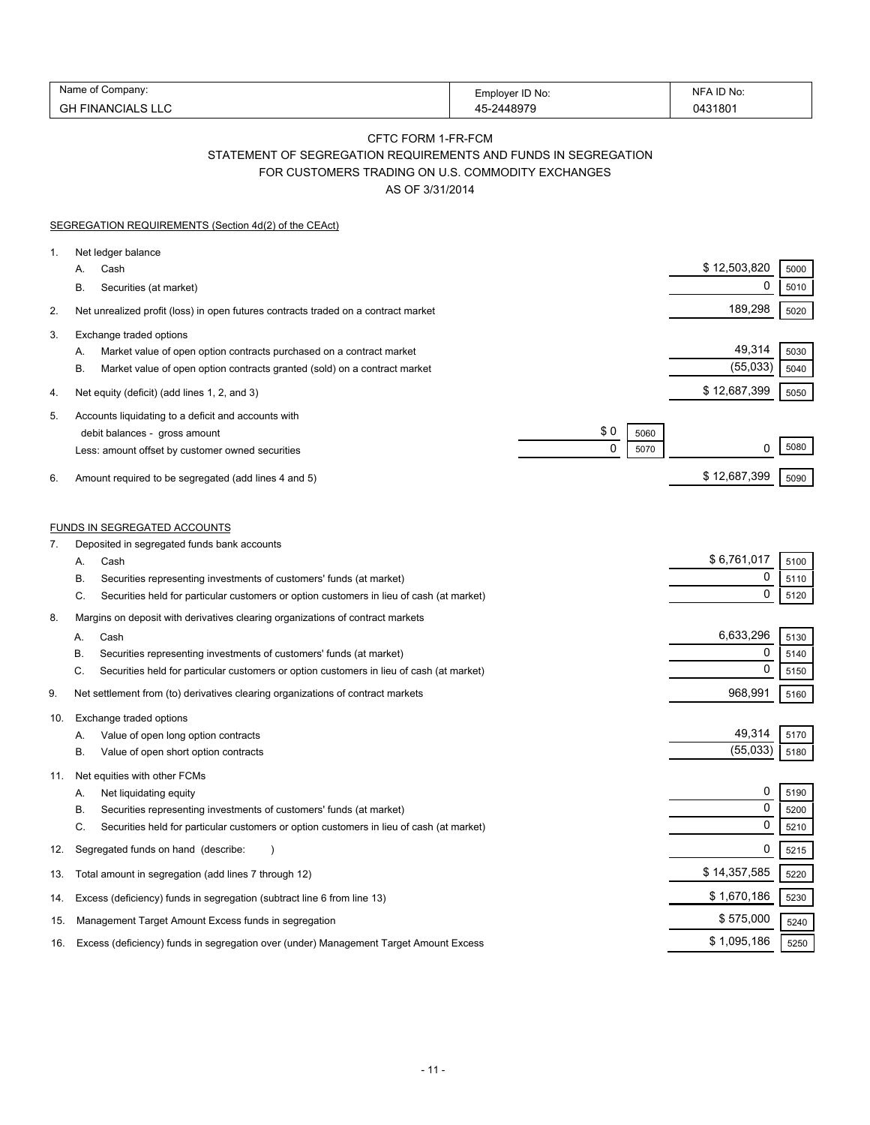| Name<br>∶ompanv:               | Emplover ID No: | D No:<br>N⊩ |
|--------------------------------|-----------------|-------------|
| $\cap$<br>-INANCIALS LLC<br>סט | 10070           | 043180      |

# CFTC FORM 1-FR-FCM STATEMENT OF SEGREGATION REQUIREMENTS AND FUNDS IN SEGREGATION FOR CUSTOMERS TRADING ON U.S. COMMODITY EXCHANGES

AS OF 3/31/2014

|     | SEGREGATION REQUIREMENTS (Section 4d(2) of the CEAct)                                                                                                                                    |                                    |  |
|-----|------------------------------------------------------------------------------------------------------------------------------------------------------------------------------------------|------------------------------------|--|
| 1.  | Net ledger balance<br>Cash<br>А.<br>Securities (at market)<br>В.                                                                                                                         | \$12,503,820<br>5000<br>0<br>5010  |  |
| 2.  | Net unrealized profit (loss) in open futures contracts traded on a contract market                                                                                                       | 189,298<br>5020                    |  |
| 3.  | Exchange traded options<br>Market value of open option contracts purchased on a contract market<br>А.<br>Β.<br>Market value of open option contracts granted (sold) on a contract market | 49,314<br>5030<br>(55,033)<br>5040 |  |
| 4.  | Net equity (deficit) (add lines 1, 2, and 3)                                                                                                                                             | \$12,687,399<br>5050               |  |
| 5.  | Accounts liquidating to a deficit and accounts with<br>\$0<br>debit balances - gross amount<br>5060<br>0<br>5070<br>Less: amount offset by customer owned securities                     | 5080<br>0                          |  |
| 6.  | Amount required to be segregated (add lines 4 and 5)                                                                                                                                     | \$12,687,399<br>5090               |  |
| 7.  | FUNDS IN SEGREGATED ACCOUNTS<br>Deposited in segregated funds bank accounts                                                                                                              |                                    |  |
|     | Cash<br>А.                                                                                                                                                                               | \$6,761,017<br>5100                |  |
|     | Securities representing investments of customers' funds (at market)<br>В.<br>C.<br>Securities held for particular customers or option customers in lieu of cash (at market)              | 0<br>5110<br>$\mathbf 0$<br>5120   |  |
| 8.  | Margins on deposit with derivatives clearing organizations of contract markets                                                                                                           |                                    |  |
|     | Cash<br>А.                                                                                                                                                                               | 6,633,296<br>5130                  |  |
|     | В.<br>Securities representing investments of customers' funds (at market)                                                                                                                | 0<br>5140<br>$\mathbf 0$           |  |
|     | C.<br>Securities held for particular customers or option customers in lieu of cash (at market)                                                                                           | 5150                               |  |
| 9.  | Net settlement from (to) derivatives clearing organizations of contract markets                                                                                                          | 968,991<br>5160                    |  |
| 10. | Exchange traded options<br>Value of open long option contracts<br>А.<br>Value of open short option contracts<br>В.                                                                       | 49,314<br>5170<br>(55,033)<br>5180 |  |
| 11. | Net equities with other FCMs<br>Net liquidating equity<br>А.                                                                                                                             | $\mathbf 0$<br>5190                |  |
|     | Securities representing investments of customers' funds (at market)<br>В.                                                                                                                | $\mathbf 0$<br>5200                |  |
|     | C.<br>Securities held for particular customers or option customers in lieu of cash (at market)                                                                                           | 0<br>5210                          |  |
| 12. | Segregated funds on hand (describe:                                                                                                                                                      | 0<br>5215                          |  |
| 13. | Total amount in segregation (add lines 7 through 12)                                                                                                                                     | \$14,357,585<br>5220               |  |
| 14. | Excess (deficiency) funds in segregation (subtract line 6 from line 13)                                                                                                                  | \$1,670,186<br>5230                |  |
| 15. | Management Target Amount Excess funds in segregation                                                                                                                                     | \$575,000<br>5240                  |  |
| 16. | Excess (deficiency) funds in segregation over (under) Management Target Amount Excess                                                                                                    | \$1,095,186<br>5250                |  |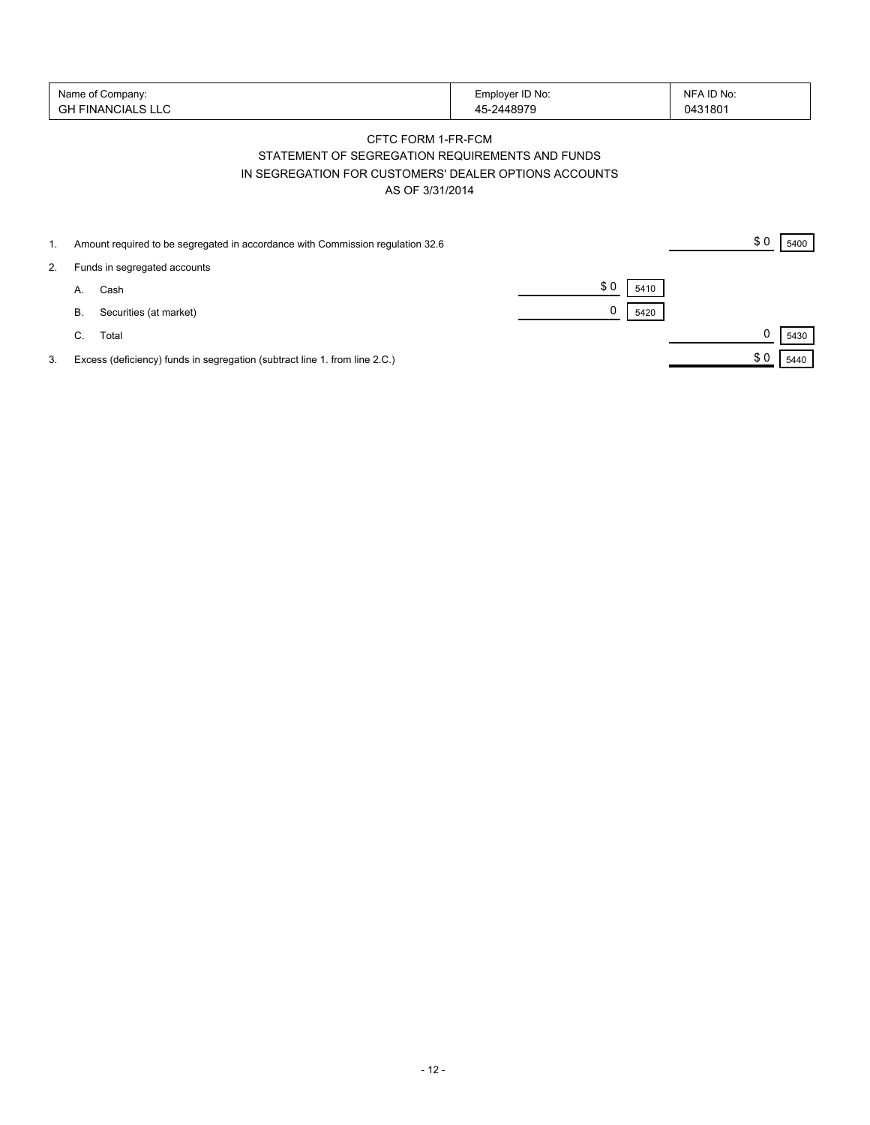| Name of Company:   | Employer ID No: | NFA ID No: |
|--------------------|-----------------|------------|
| 'GH FINANCIALS LLC | -2448979        | 0431801    |

## CFTC FORM 1-FR-FCM STATEMENT OF SEGREGATION REQUIREMENTS AND FUNDS IN SEGREGATION FOR CUSTOMERS' DEALER OPTIONS ACCOUNTS AS OF 3/31/2014

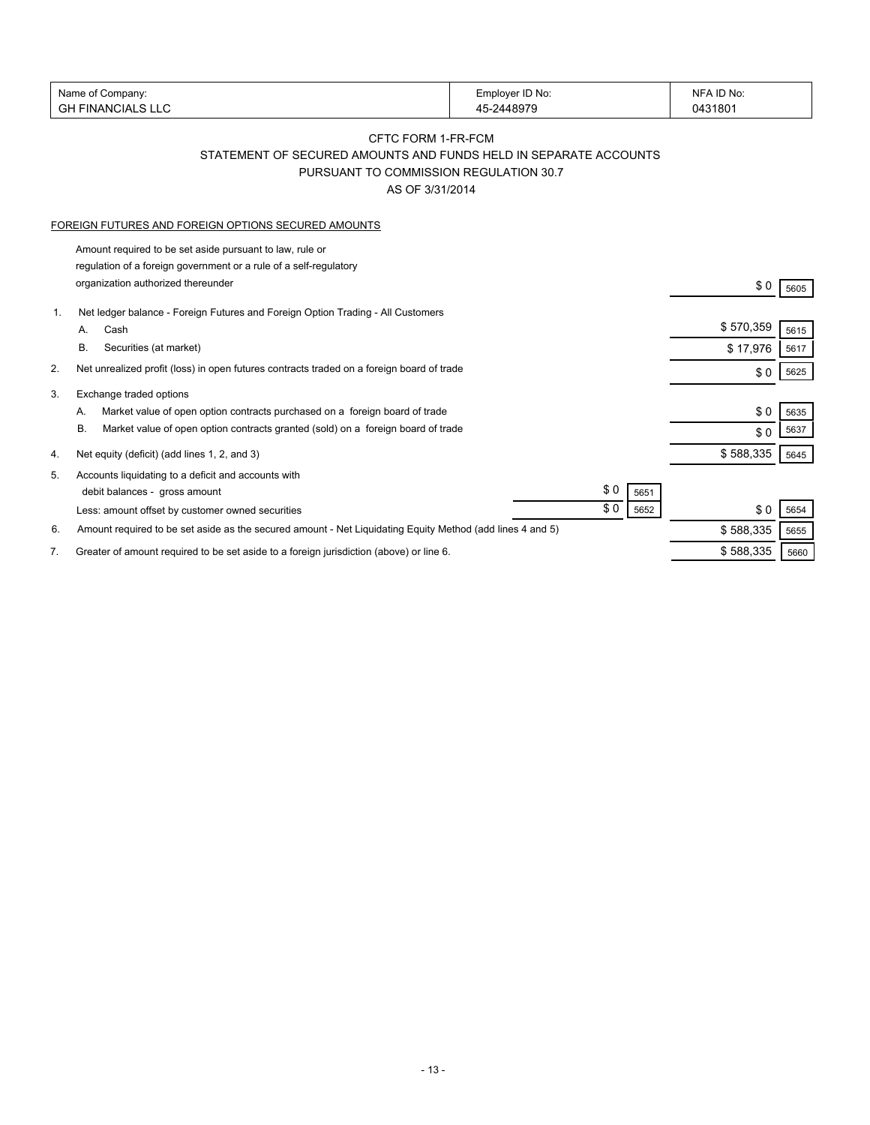|    | Name of Company:                                                                                          | Employer ID No: | NFA ID No:  |      |
|----|-----------------------------------------------------------------------------------------------------------|-----------------|-------------|------|
|    | <b>GH FINANCIALS LLC</b>                                                                                  | 45-2448979      | 0431801     |      |
|    | CFTC FORM 1-FR-FCM                                                                                        |                 |             |      |
|    | STATEMENT OF SECURED AMOUNTS AND FUNDS HELD IN SEPARATE ACCOUNTS                                          |                 |             |      |
|    | PURSUANT TO COMMISSION REGULATION 30.7                                                                    |                 |             |      |
|    | AS OF 3/31/2014                                                                                           |                 |             |      |
|    |                                                                                                           |                 |             |      |
|    | FOREIGN FUTURES AND FOREIGN OPTIONS SECURED AMOUNTS                                                       |                 |             |      |
|    | Amount required to be set aside pursuant to law, rule or                                                  |                 |             |      |
|    | regulation of a foreign government or a rule of a self-regulatory                                         |                 |             |      |
|    | organization authorized thereunder                                                                        |                 | \$0         | 5605 |
|    |                                                                                                           |                 |             |      |
| 1. | Net ledger balance - Foreign Futures and Foreign Option Trading - All Customers                           |                 | \$570,359   |      |
|    | Cash<br>A.                                                                                                |                 |             | 5615 |
|    | В.<br>Securities (at market)                                                                              |                 | \$17,976    | 5617 |
| 2. | Net unrealized profit (loss) in open futures contracts traded on a foreign board of trade                 |                 | \$0         | 5625 |
| 3. | Exchange traded options                                                                                   |                 |             |      |
|    | Market value of open option contracts purchased on a foreign board of trade<br>А.                         |                 | \$0         | 5635 |
|    | Market value of open option contracts granted (sold) on a foreign board of trade<br>В.                    |                 | \$0         | 5637 |
|    |                                                                                                           |                 |             |      |
| 4. | Net equity (deficit) (add lines 1, 2, and 3)                                                              |                 | \$588,335   | 5645 |
| 5. | Accounts liquidating to a deficit and accounts with                                                       |                 |             |      |
|    | debit balances - gross amount                                                                             | \$0             | 5651        |      |
|    | Less: amount offset by customer owned securities                                                          | \$0             | \$0<br>5652 | 5654 |
| 6. | Amount required to be set aside as the secured amount - Net Liquidating Equity Method (add lines 4 and 5) |                 | \$588,335   | 5655 |
| 7. | Greater of amount required to be set aside to a foreign jurisdiction (above) or line 6.                   |                 | \$588,335   | 5660 |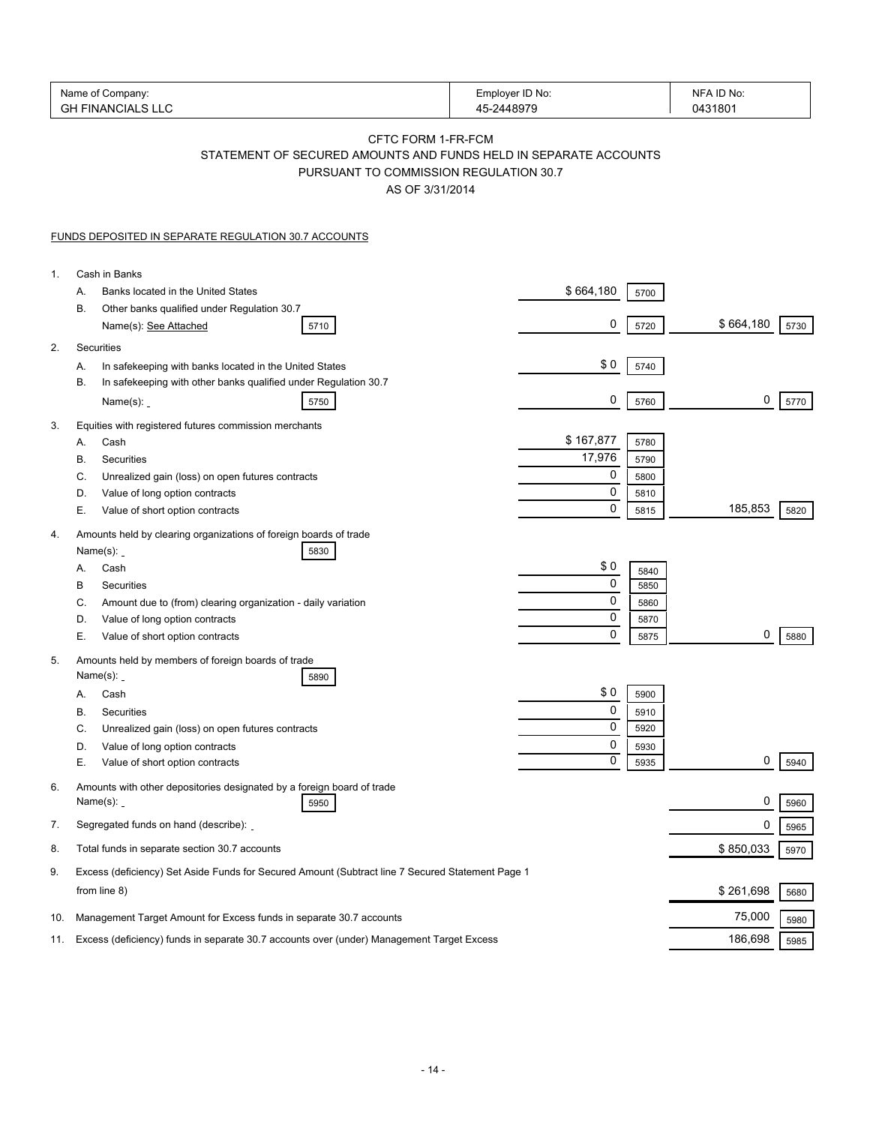| Name of Company:<br><b>GH FINANCIALS LLC</b>                                                                    | Employer ID No:<br>45-2448979                                                                                                                       | NFA ID No:<br>0431801           |
|-----------------------------------------------------------------------------------------------------------------|-----------------------------------------------------------------------------------------------------------------------------------------------------|---------------------------------|
|                                                                                                                 | CFTC FORM 1-FR-FCM<br>STATEMENT OF SECURED AMOUNTS AND FUNDS HELD IN SEPARATE ACCOUNTS<br>PURSUANT TO COMMISSION REGULATION 30.7<br>AS OF 3/31/2014 |                                 |
| <b>FUNDS DEPOSITED IN SEPARATE REGULATION 30.7 ACCOUNTS</b>                                                     |                                                                                                                                                     |                                 |
| Cash in Banks<br>1.                                                                                             |                                                                                                                                                     |                                 |
| Banks located in the United States<br>А.                                                                        | \$664,180                                                                                                                                           | 5700                            |
| В.<br>Other banks qualified under Regulation 30.7<br>Name(s): See Attached<br>5710                              | 0                                                                                                                                                   | \$664,180<br>5720<br>5730       |
| Securities                                                                                                      |                                                                                                                                                     |                                 |
| In safekeeping with banks located in the United States<br>Α.                                                    | \$0                                                                                                                                                 | 5740                            |
| In safekeeping with other banks qualified under Regulation 30.7<br>В.<br>Name $(s)$ :<br>5750                   | 0                                                                                                                                                   | 0<br>5760<br>5770               |
| Equities with registered futures commission merchants                                                           |                                                                                                                                                     |                                 |
| Cash<br>А.                                                                                                      | \$167,877                                                                                                                                           | 5780                            |
| Securities<br>В.                                                                                                | 17,976                                                                                                                                              | 5790                            |
| Unrealized gain (loss) on open futures contracts<br>C.                                                          | 0<br>0                                                                                                                                              | 5800                            |
| Value of long option contracts<br>D.<br>Е.<br>Value of short option contracts                                   | 0                                                                                                                                                   | 5810<br>185,853<br>5820<br>5815 |
| Amounts held by clearing organizations of foreign boards of trade                                               |                                                                                                                                                     |                                 |
| Name $(s)$ :<br>5830<br>Cash<br>Α.                                                                              | \$0                                                                                                                                                 |                                 |
| В<br>Securities                                                                                                 | 0                                                                                                                                                   | 5840<br>5850                    |
| Amount due to (from) clearing organization - daily variation<br>C.                                              | 0                                                                                                                                                   | 5860                            |
| Value of long option contracts<br>D.                                                                            | 0                                                                                                                                                   | 5870                            |
| Е.<br>Value of short option contracts                                                                           | 0                                                                                                                                                   | 0<br>5875<br>5880               |
| Amounts held by members of foreign boards of trade<br>Name $(s)$ :<br>5890                                      |                                                                                                                                                     |                                 |
| Cash<br>А.                                                                                                      | \$0                                                                                                                                                 | 5900                            |
| В.<br>Securities                                                                                                | $\mathbf{0}$                                                                                                                                        | 5910                            |
| C.<br>Unrealized gain (loss) on open futures contracts                                                          | 0                                                                                                                                                   | 5920                            |
| Value of long option contracts<br>D.                                                                            | 0<br>0                                                                                                                                              | 5930<br>0                       |
| Е.<br>Value of short option contracts<br>Amounts with other depositories designated by a foreign board of trade |                                                                                                                                                     | 5940<br>5935                    |
| Name $(s)$ :<br>5950                                                                                            |                                                                                                                                                     | 0<br>5960                       |
| Segregated funds on hand (describe):<br>7.                                                                      |                                                                                                                                                     | 0<br>5965                       |
| Total funds in separate section 30.7 accounts                                                                   |                                                                                                                                                     | \$850,033<br>5970               |
| Excess (deficiency) Set Aside Funds for Secured Amount (Subtract line 7 Secured Statement Page 1                |                                                                                                                                                     |                                 |
| from line 8)                                                                                                    |                                                                                                                                                     | \$261,698<br>5680               |
| Management Target Amount for Excess funds in separate 30.7 accounts<br>10.                                      |                                                                                                                                                     | 75,000<br>5980                  |
| Excess (deficiency) funds in separate 30.7 accounts over (under) Management Target Excess<br>11.                |                                                                                                                                                     | 186,698<br>5985                 |